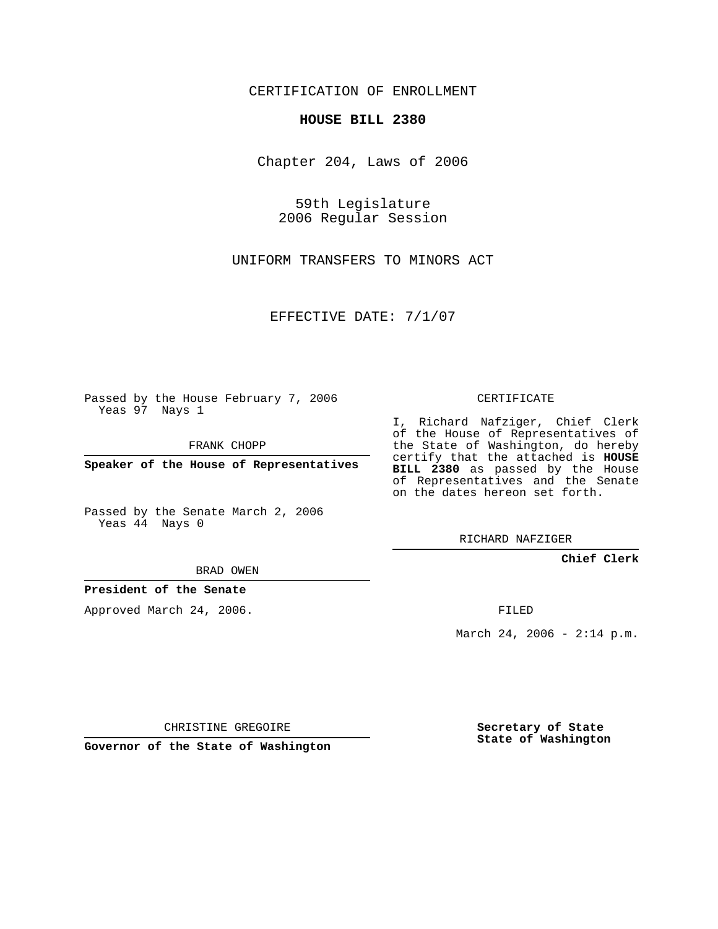CERTIFICATION OF ENROLLMENT

## **HOUSE BILL 2380**

Chapter 204, Laws of 2006

59th Legislature 2006 Regular Session

UNIFORM TRANSFERS TO MINORS ACT

EFFECTIVE DATE: 7/1/07

Passed by the House February 7, 2006 Yeas 97 Nays 1

FRANK CHOPP

**Speaker of the House of Representatives**

Passed by the Senate March 2, 2006 Yeas 44 Nays 0

I, Richard Nafziger, Chief Clerk of the House of Representatives of the State of Washington, do hereby certify that the attached is **HOUSE BILL 2380** as passed by the House of Representatives and the Senate on the dates hereon set forth.

CERTIFICATE

RICHARD NAFZIGER

**Chief Clerk**

BRAD OWEN

**President of the Senate**

Approved March 24, 2006.

FILED

March 24, 2006 -  $2:14$  p.m.

CHRISTINE GREGOIRE

**Governor of the State of Washington**

**Secretary of State State of Washington**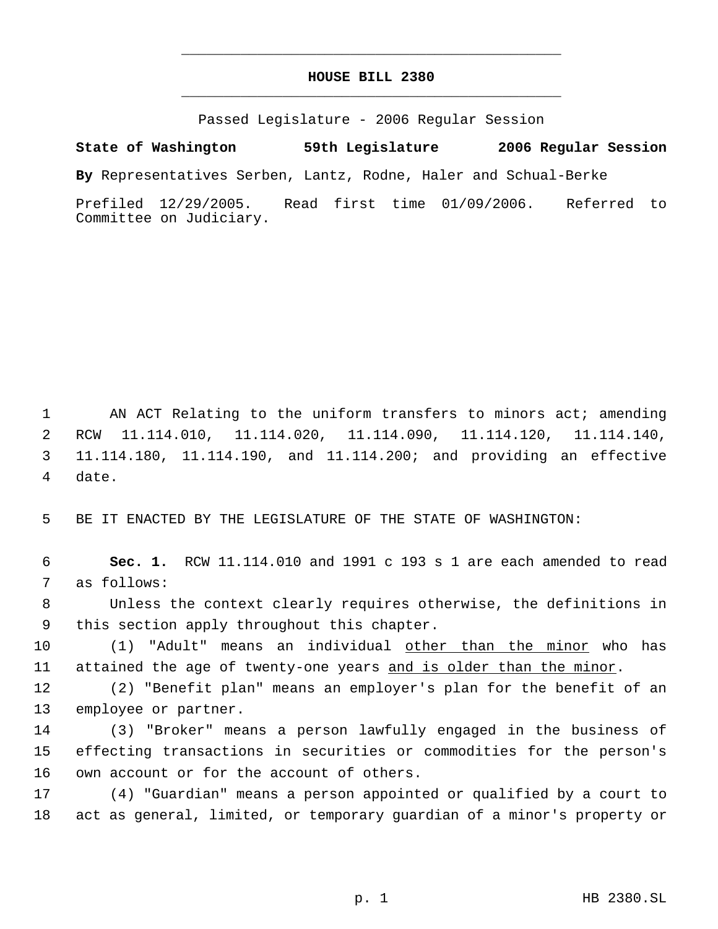## **HOUSE BILL 2380** \_\_\_\_\_\_\_\_\_\_\_\_\_\_\_\_\_\_\_\_\_\_\_\_\_\_\_\_\_\_\_\_\_\_\_\_\_\_\_\_\_\_\_\_\_

\_\_\_\_\_\_\_\_\_\_\_\_\_\_\_\_\_\_\_\_\_\_\_\_\_\_\_\_\_\_\_\_\_\_\_\_\_\_\_\_\_\_\_\_\_

Passed Legislature - 2006 Regular Session

**State of Washington 59th Legislature 2006 Regular Session**

**By** Representatives Serben, Lantz, Rodne, Haler and Schual-Berke

Prefiled 12/29/2005. Read first time 01/09/2006. Referred to Committee on Judiciary.

1 AN ACT Relating to the uniform transfers to minors act; amending 2 RCW 11.114.010, 11.114.020, 11.114.090, 11.114.120, 11.114.140, 3 11.114.180, 11.114.190, and 11.114.200; and providing an effective 4 date.

5 BE IT ENACTED BY THE LEGISLATURE OF THE STATE OF WASHINGTON:

 6 **Sec. 1.** RCW 11.114.010 and 1991 c 193 s 1 are each amended to read 7 as follows:

 8 Unless the context clearly requires otherwise, the definitions in 9 this section apply throughout this chapter.

10 (1) "Adult" means an individual other than the minor who has 11 attained the age of twenty-one years and is older than the minor.

12 (2) "Benefit plan" means an employer's plan for the benefit of an 13 employee or partner.

14 (3) "Broker" means a person lawfully engaged in the business of 15 effecting transactions in securities or commodities for the person's 16 own account or for the account of others.

17 (4) "Guardian" means a person appointed or qualified by a court to 18 act as general, limited, or temporary guardian of a minor's property or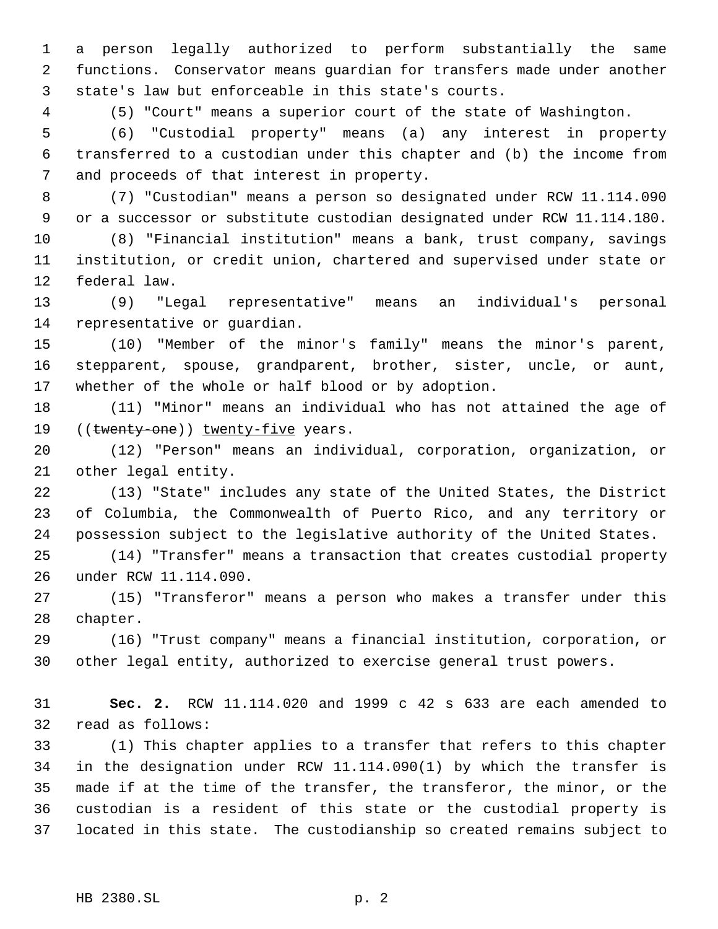a person legally authorized to perform substantially the same functions. Conservator means guardian for transfers made under another state's law but enforceable in this state's courts.

(5) "Court" means a superior court of the state of Washington.

 (6) "Custodial property" means (a) any interest in property transferred to a custodian under this chapter and (b) the income from and proceeds of that interest in property.

 (7) "Custodian" means a person so designated under RCW 11.114.090 or a successor or substitute custodian designated under RCW 11.114.180.

 (8) "Financial institution" means a bank, trust company, savings institution, or credit union, chartered and supervised under state or federal law.

 (9) "Legal representative" means an individual's personal representative or guardian.

 (10) "Member of the minor's family" means the minor's parent, stepparent, spouse, grandparent, brother, sister, uncle, or aunt, whether of the whole or half blood or by adoption.

 (11) "Minor" means an individual who has not attained the age of 19 ((twenty-one)) twenty-five years.

 (12) "Person" means an individual, corporation, organization, or other legal entity.

 (13) "State" includes any state of the United States, the District of Columbia, the Commonwealth of Puerto Rico, and any territory or possession subject to the legislative authority of the United States.

 (14) "Transfer" means a transaction that creates custodial property under RCW 11.114.090.

 (15) "Transferor" means a person who makes a transfer under this chapter.

 (16) "Trust company" means a financial institution, corporation, or other legal entity, authorized to exercise general trust powers.

 **Sec. 2.** RCW 11.114.020 and 1999 c 42 s 633 are each amended to read as follows:

 (1) This chapter applies to a transfer that refers to this chapter in the designation under RCW 11.114.090(1) by which the transfer is made if at the time of the transfer, the transferor, the minor, or the custodian is a resident of this state or the custodial property is located in this state. The custodianship so created remains subject to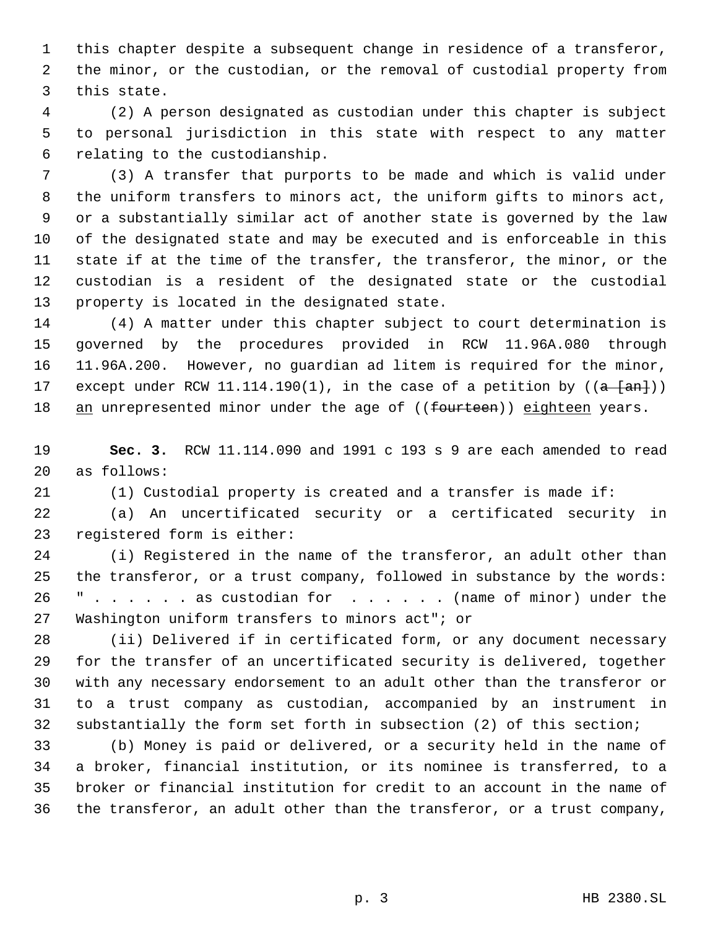this chapter despite a subsequent change in residence of a transferor, the minor, or the custodian, or the removal of custodial property from this state.

 (2) A person designated as custodian under this chapter is subject to personal jurisdiction in this state with respect to any matter relating to the custodianship.

 (3) A transfer that purports to be made and which is valid under the uniform transfers to minors act, the uniform gifts to minors act, or a substantially similar act of another state is governed by the law of the designated state and may be executed and is enforceable in this state if at the time of the transfer, the transferor, the minor, or the custodian is a resident of the designated state or the custodial property is located in the designated state.

 (4) A matter under this chapter subject to court determination is governed by the procedures provided in RCW 11.96A.080 through 11.96A.200. However, no guardian ad litem is required for the minor, 17 except under RCW 11.114.190(1), in the case of a petition by  $((a +an))$ 18 an unrepresented minor under the age of ((fourteen)) eighteen years.

 **Sec. 3.** RCW 11.114.090 and 1991 c 193 s 9 are each amended to read as follows:

(1) Custodial property is created and a transfer is made if:

 (a) An uncertificated security or a certificated security in registered form is either:

 (i) Registered in the name of the transferor, an adult other than the transferor, or a trust company, followed in substance by the words: " . . . . . . as custodian for . . . . . . (name of minor) under the Washington uniform transfers to minors act"; or

 (ii) Delivered if in certificated form, or any document necessary for the transfer of an uncertificated security is delivered, together with any necessary endorsement to an adult other than the transferor or to a trust company as custodian, accompanied by an instrument in substantially the form set forth in subsection (2) of this section;

 (b) Money is paid or delivered, or a security held in the name of a broker, financial institution, or its nominee is transferred, to a broker or financial institution for credit to an account in the name of the transferor, an adult other than the transferor, or a trust company,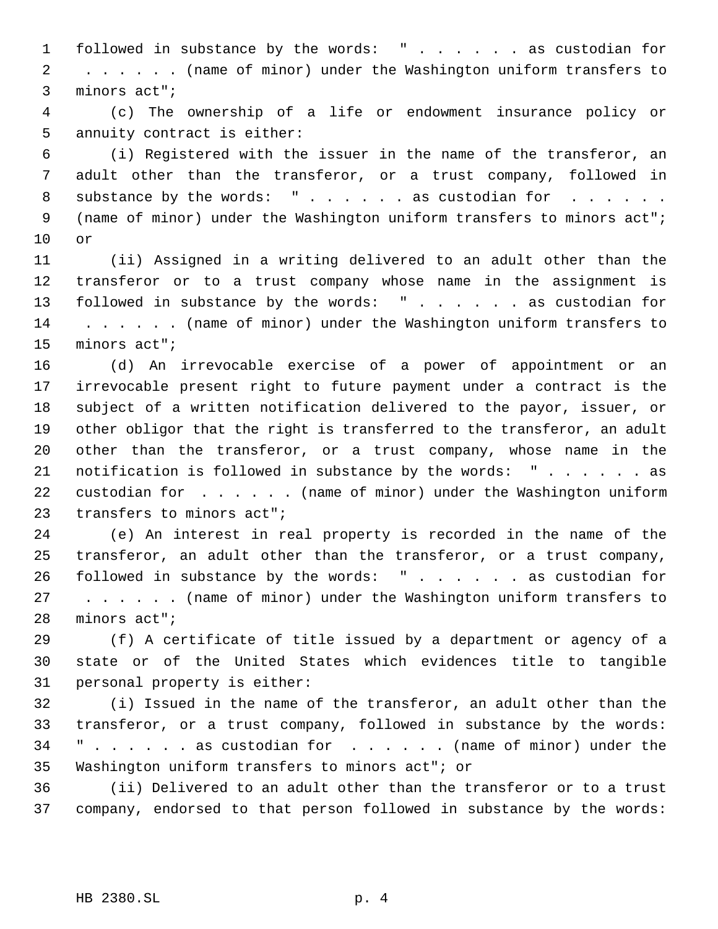followed in substance by the words: " . . . . . . as custodian for 2 . . . . . . (name of minor) under the Washington uniform transfers to minors act";

 (c) The ownership of a life or endowment insurance policy or annuity contract is either:

 (i) Registered with the issuer in the name of the transferor, an adult other than the transferor, or a trust company, followed in 8 substance by the words: " . . . . . as custodian for . . . . . . (name of minor) under the Washington uniform transfers to minors act"; or

 (ii) Assigned in a writing delivered to an adult other than the transferor or to a trust company whose name in the assignment is 13 followed in substance by the words: " . . . . . . as custodian for 14 . . . . . . (name of minor) under the Washington uniform transfers to minors act";

 (d) An irrevocable exercise of a power of appointment or an irrevocable present right to future payment under a contract is the subject of a written notification delivered to the payor, issuer, or other obligor that the right is transferred to the transferor, an adult other than the transferor, or a trust company, whose name in the notification is followed in substance by the words: " . . . . . . as 22 custodian for . . . . . (name of minor) under the Washington uniform transfers to minors act";

 (e) An interest in real property is recorded in the name of the transferor, an adult other than the transferor, or a trust company, followed in substance by the words: " . . . . . . as custodian for 27 . . . . . . (name of minor) under the Washington uniform transfers to minors act";

 (f) A certificate of title issued by a department or agency of a state or of the United States which evidences title to tangible personal property is either:

 (i) Issued in the name of the transferor, an adult other than the transferor, or a trust company, followed in substance by the words: " . . . . . . as custodian for . . . . . . (name of minor) under the Washington uniform transfers to minors act"; or

 (ii) Delivered to an adult other than the transferor or to a trust company, endorsed to that person followed in substance by the words: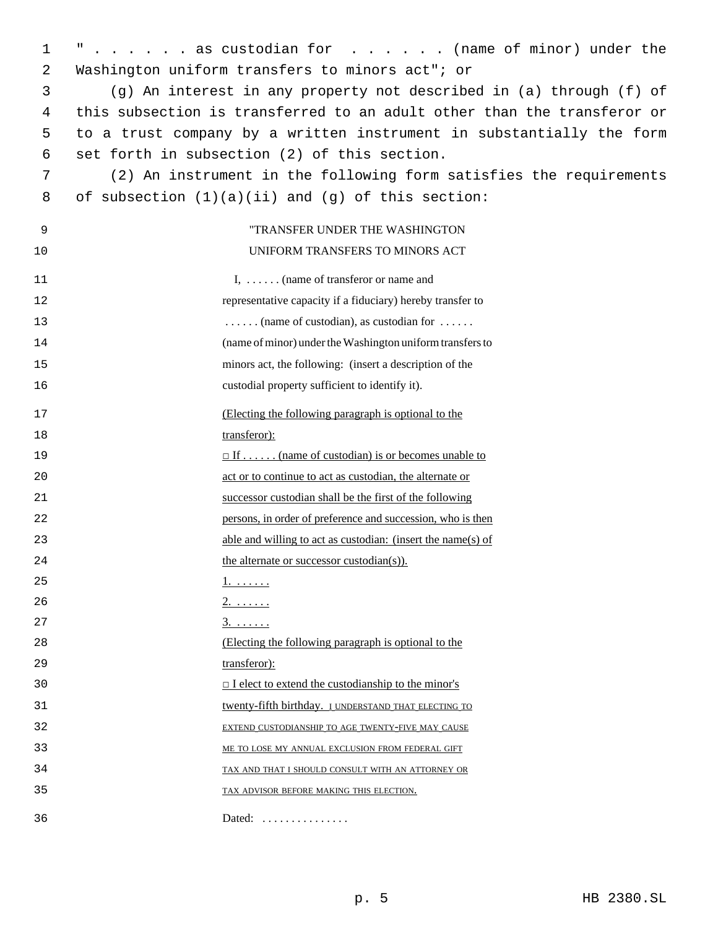| 1  | " as custodian for (name of minor) under the    |                                                                         |
|----|-------------------------------------------------|-------------------------------------------------------------------------|
| 2  | Washington uniform transfers to minors act"; or |                                                                         |
| 3  |                                                 | (g) An interest in any property not described in (a) through (f) of     |
| 4  |                                                 | this subsection is transferred to an adult other than the transferor or |
| 5  |                                                 | to a trust company by a written instrument in substantially the form    |
| 6  | set forth in subsection (2) of this section.    |                                                                         |
| 7  |                                                 | (2) An instrument in the following form satisfies the requirements      |
| 8  |                                                 | of subsection $(1)(a)(ii)$ and $(g)$ of this section:                   |
| 9  |                                                 | "TRANSFER UNDER THE WASHINGTON                                          |
| 10 |                                                 | UNIFORM TRANSFERS TO MINORS ACT                                         |
| 11 |                                                 | I,  (name of transferor or name and                                     |
| 12 |                                                 | representative capacity if a fiduciary) hereby transfer to              |
| 13 |                                                 | $\ldots$ (name of custodian), as custodian for $\ldots$ .               |
| 14 |                                                 | (name of minor) under the Washington uniform transfers to               |
| 15 |                                                 | minors act, the following: (insert a description of the                 |
| 16 |                                                 | custodial property sufficient to identify it).                          |
|    |                                                 |                                                                         |
| 17 |                                                 | (Electing the following paragraph is optional to the                    |
| 18 | transferor):                                    |                                                                         |
| 19 |                                                 | $\underline{\square}$ If  (name of custodian) is or becomes unable to   |
| 20 |                                                 | act or to continue to act as custodian, the alternate or                |
| 21 |                                                 | successor custodian shall be the first of the following                 |
| 22 |                                                 | persons, in order of preference and succession, who is then             |
| 23 |                                                 | able and willing to act as custodian: (insert the name(s) of            |
| 24 |                                                 | the alternate or successor custodian(s)).                               |
| 25 |                                                 |                                                                         |
| 26 | <u>2.</u>                                       |                                                                         |
| 27 | $3$ . $\dots$                                   |                                                                         |
| 28 |                                                 | (Electing the following paragraph is optional to the                    |
| 29 | transferor):                                    |                                                                         |
| 30 |                                                 | $\Box$ I elect to extend the custodianship to the minor's               |
| 31 |                                                 | twenty-fifth birthday. I UNDERSTAND THAT ELECTING TO                    |
| 32 |                                                 | EXTEND CUSTODIANSHIP TO AGE TWENTY-FIVE MAY CAUSE                       |
| 33 |                                                 | ME TO LOSE MY ANNUAL EXCLUSION FROM FEDERAL GIFT                        |
| 34 |                                                 | TAX AND THAT I SHOULD CONSULT WITH AN ATTORNEY OR                       |
| 35 |                                                 | TAX ADVISOR BEFORE MAKING THIS ELECTION.                                |
| 36 |                                                 | Dated: $\ldots \ldots \ldots \ldots$                                    |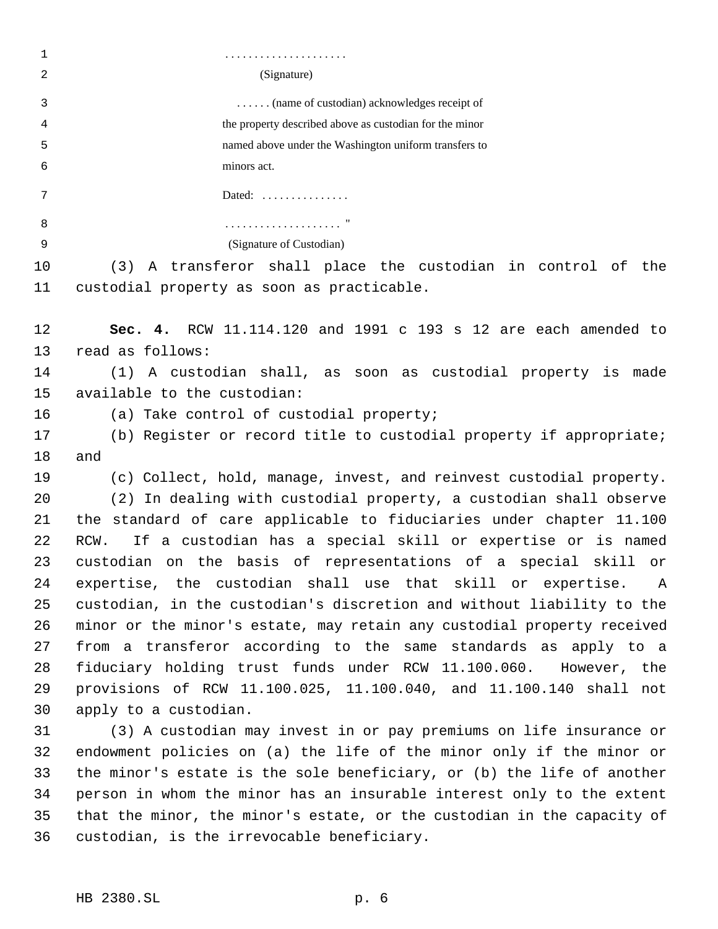. . . . . . . . . . . . . . . . . . . . . (Signature) . . . . . . (name of custodian) acknowledges receipt of the property described above as custodian for the minor named above under the Washington uniform transfers to minors act. Dated: . . . . . . . . . . . . . . . . . . . . . . . . . . . . . . . . . . . " (Signature of Custodian) (3) A transferor shall place the custodian in control of the custodial property as soon as practicable. **Sec. 4.** RCW 11.114.120 and 1991 c 193 s 12 are each amended to read as follows: (1) A custodian shall, as soon as custodial property is made available to the custodian: (a) Take control of custodial property; (b) Register or record title to custodial property if appropriate; and (c) Collect, hold, manage, invest, and reinvest custodial property. (2) In dealing with custodial property, a custodian shall observe the standard of care applicable to fiduciaries under chapter 11.100 RCW. If a custodian has a special skill or expertise or is named custodian on the basis of representations of a special skill or expertise, the custodian shall use that skill or expertise. A custodian, in the custodian's discretion and without liability to the minor or the minor's estate, may retain any custodial property received from a transferor according to the same standards as apply to a fiduciary holding trust funds under RCW 11.100.060. However, the provisions of RCW 11.100.025, 11.100.040, and 11.100.140 shall not apply to a custodian. (3) A custodian may invest in or pay premiums on life insurance or endowment policies on (a) the life of the minor only if the minor or the minor's estate is the sole beneficiary, or (b) the life of another person in whom the minor has an insurable interest only to the extent that the minor, the minor's estate, or the custodian in the capacity of custodian, is the irrevocable beneficiary.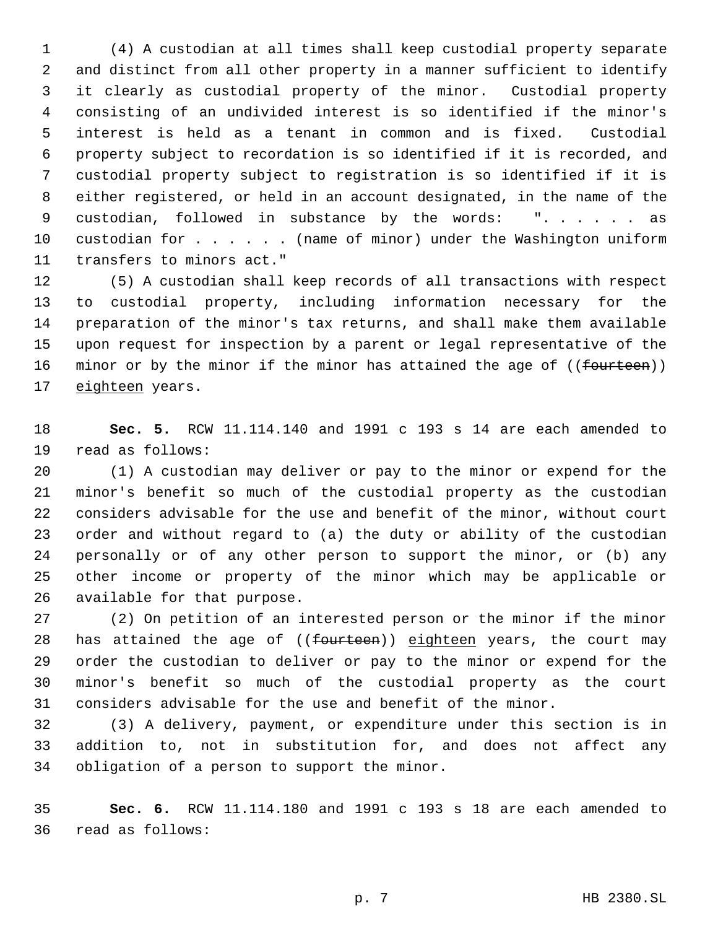(4) A custodian at all times shall keep custodial property separate and distinct from all other property in a manner sufficient to identify it clearly as custodial property of the minor. Custodial property consisting of an undivided interest is so identified if the minor's interest is held as a tenant in common and is fixed. Custodial property subject to recordation is so identified if it is recorded, and custodial property subject to registration is so identified if it is either registered, or held in an account designated, in the name of the custodian, followed in substance by the words: ". . . . . . as 10 custodian for . . . . . (name of minor) under the Washington uniform transfers to minors act."

 (5) A custodian shall keep records of all transactions with respect to custodial property, including information necessary for the preparation of the minor's tax returns, and shall make them available upon request for inspection by a parent or legal representative of the 16 minor or by the minor if the minor has attained the age of ((fourteen)) 17 eighteen years.

 **Sec. 5.** RCW 11.114.140 and 1991 c 193 s 14 are each amended to read as follows:

 (1) A custodian may deliver or pay to the minor or expend for the minor's benefit so much of the custodial property as the custodian considers advisable for the use and benefit of the minor, without court order and without regard to (a) the duty or ability of the custodian personally or of any other person to support the minor, or (b) any other income or property of the minor which may be applicable or available for that purpose.

 (2) On petition of an interested person or the minor if the minor 28 has attained the age of ((fourteen)) eighteen years, the court may order the custodian to deliver or pay to the minor or expend for the minor's benefit so much of the custodial property as the court considers advisable for the use and benefit of the minor.

 (3) A delivery, payment, or expenditure under this section is in addition to, not in substitution for, and does not affect any obligation of a person to support the minor.

 **Sec. 6.** RCW 11.114.180 and 1991 c 193 s 18 are each amended to read as follows: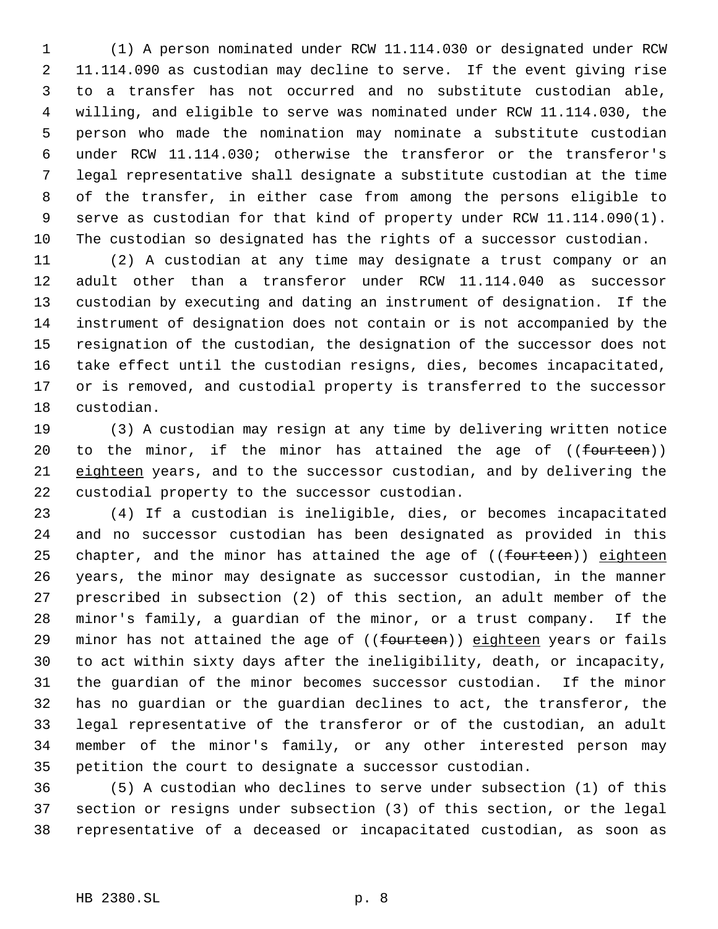(1) A person nominated under RCW 11.114.030 or designated under RCW 11.114.090 as custodian may decline to serve. If the event giving rise to a transfer has not occurred and no substitute custodian able, willing, and eligible to serve was nominated under RCW 11.114.030, the person who made the nomination may nominate a substitute custodian under RCW 11.114.030; otherwise the transferor or the transferor's legal representative shall designate a substitute custodian at the time of the transfer, in either case from among the persons eligible to serve as custodian for that kind of property under RCW 11.114.090(1). The custodian so designated has the rights of a successor custodian.

 (2) A custodian at any time may designate a trust company or an adult other than a transferor under RCW 11.114.040 as successor custodian by executing and dating an instrument of designation. If the instrument of designation does not contain or is not accompanied by the resignation of the custodian, the designation of the successor does not take effect until the custodian resigns, dies, becomes incapacitated, or is removed, and custodial property is transferred to the successor custodian.

 (3) A custodian may resign at any time by delivering written notice 20 to the minor, if the minor has attained the age of ((fourteen)) 21 eighteen years, and to the successor custodian, and by delivering the custodial property to the successor custodian.

 (4) If a custodian is ineligible, dies, or becomes incapacitated and no successor custodian has been designated as provided in this 25 chapter, and the minor has attained the age of ((fourteen)) eighteen years, the minor may designate as successor custodian, in the manner prescribed in subsection (2) of this section, an adult member of the minor's family, a guardian of the minor, or a trust company. If the 29 minor has not attained the age of ((fourteen)) eighteen years or fails to act within sixty days after the ineligibility, death, or incapacity, the guardian of the minor becomes successor custodian. If the minor has no guardian or the guardian declines to act, the transferor, the legal representative of the transferor or of the custodian, an adult member of the minor's family, or any other interested person may petition the court to designate a successor custodian.

 (5) A custodian who declines to serve under subsection (1) of this section or resigns under subsection (3) of this section, or the legal representative of a deceased or incapacitated custodian, as soon as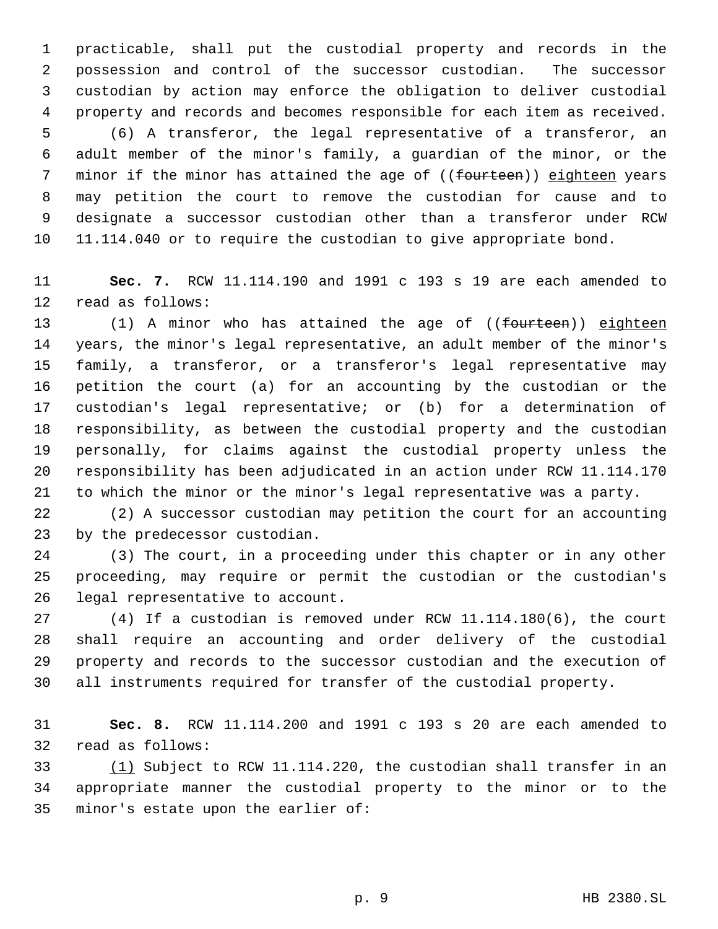practicable, shall put the custodial property and records in the possession and control of the successor custodian. The successor custodian by action may enforce the obligation to deliver custodial property and records and becomes responsible for each item as received. (6) A transferor, the legal representative of a transferor, an adult member of the minor's family, a guardian of the minor, or the 7 minor if the minor has attained the age of ((fourteen)) eighteen years may petition the court to remove the custodian for cause and to designate a successor custodian other than a transferor under RCW 11.114.040 or to require the custodian to give appropriate bond.

 **Sec. 7.** RCW 11.114.190 and 1991 c 193 s 19 are each amended to read as follows:

13 (1) A minor who has attained the age of ((fourteen)) eighteen years, the minor's legal representative, an adult member of the minor's family, a transferor, or a transferor's legal representative may petition the court (a) for an accounting by the custodian or the custodian's legal representative; or (b) for a determination of responsibility, as between the custodial property and the custodian personally, for claims against the custodial property unless the responsibility has been adjudicated in an action under RCW 11.114.170 to which the minor or the minor's legal representative was a party.

 (2) A successor custodian may petition the court for an accounting by the predecessor custodian.

 (3) The court, in a proceeding under this chapter or in any other proceeding, may require or permit the custodian or the custodian's legal representative to account.

 (4) If a custodian is removed under RCW 11.114.180(6), the court shall require an accounting and order delivery of the custodial property and records to the successor custodian and the execution of all instruments required for transfer of the custodial property.

 **Sec. 8.** RCW 11.114.200 and 1991 c 193 s 20 are each amended to read as follows:

 (1) Subject to RCW 11.114.220, the custodian shall transfer in an appropriate manner the custodial property to the minor or to the minor's estate upon the earlier of: